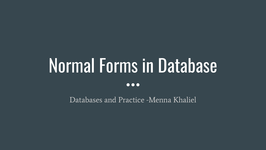# Normal Forms in Database  $\bullet\bullet\bullet$

Databases and Practice -Menna Khaliel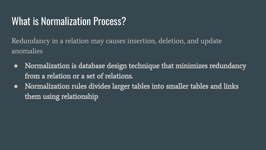## What is Normalization Process?

Redundancy in a relation may causes insertion, deletion, and update anomalies

- **●** Normalization is database design technique that minimizes redundancy from a relation or a set of relations.
- **●** Normalization rules divides larger tables into smaller tables and links them using relationship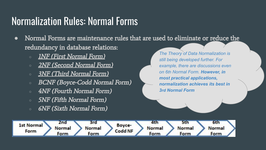## Normalization Rules: Normal Forms

- **●** Normal Forms are maintenance rules that are used to eliminate or reduce the redundancy in database relations:
	- *○* 1NF (First Normal Form)
	- *○* 2NF (Second Normal Form)
	- *○* 3NF (Third Normal Form)
	- *○* BCNF (Boyce-Codd Normal Form)
	- *○* 4NF (Fourth Normal Form)
	- *○* 5NF (Fifth Normal Form)
	- *○* 6NF (Sixth Normal Form)

*The Theory of Data Normalization is still being developed further. For example, there are discussions even on 6th Normal Form. However, in most practical applications, normalization achieves its best in 3rd Normal Form*

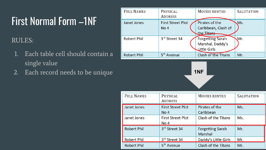## First Normal Form –1NF

### RULES:

- 1. Each table cell should contain a single value
- 2. Each record needs to be unique **1NF**

| <b>FULL NAMES</b>  | PHYSICAL<br><b>ADDRESS</b>                  | <b>MOVIES RENTED</b>                                        | <b>SALUTATION</b> |
|--------------------|---------------------------------------------|-------------------------------------------------------------|-------------------|
| Janet Jones        | <b>First Street Plot</b><br>No <sub>4</sub> | Pirates of the<br>Caribbean, Clash of<br>the Titans         | Ms.               |
| Robert Phil        | 3rd Street 34                               | <b>Forgetting Sarah</b><br>Marshal, Daddy's<br>Little Girls | Mr.               |
| <b>Robert Phil</b> | 5 <sup>th</sup> Avenue                      | <b>Clash of the Titans</b>                                  | Mr.               |



| <b>FULL NAMES</b>  | PHYSICAL<br><b>ADDRESS</b>       | <b>MOVIES RENTED</b>               | <b>SALUTATION</b> |
|--------------------|----------------------------------|------------------------------------|-------------------|
| Janet Jones        | <b>First Street Plot</b><br>No 4 | Pirates of the<br>Caribbean        | Ms.               |
| Janet Jones        | <b>First Street Plot</b><br>No 4 | Clash of the Titans                | Ms.               |
| <b>Robert Phil</b> | 3rd Street 34                    | <b>Forgetting Sarah</b><br>Marshal | Mr.               |
| Robert Phil        | 3rd Street 34                    | Daddy's Little Girls               | Mr.               |
| <b>Robert Phil</b> | 5 <sup>th</sup> Avenue           | Clash of the Titans                | Mr.               |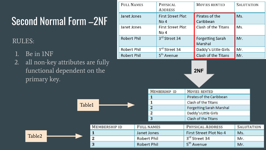# Second Normal Form –2NF

### RULES:

- 1. Be in 1NF
- 2. all non-key attributes are fully functional dependent on the primary key.

Table1

| <b>FULL NAMES</b>  | PHYSICAL<br><b>ADDRESS</b>                  | <b>MOVIES RENTED</b>               | <b>SALUTATION</b> |  |
|--------------------|---------------------------------------------|------------------------------------|-------------------|--|
| Janet Jones        | <b>First Street Plot</b><br>No <sub>4</sub> | Pirates of the<br>Caribbean        | Ms.               |  |
| Janet Jones        | <b>First Street Plot</b><br>No 4            | Clash of the Titans                | Ms.               |  |
| <b>Robert Phil</b> | 3rd Street 34                               | <b>Forgetting Sarah</b><br>Marshal | Mr.               |  |
| <b>Robert Phil</b> | 3rd Street 34                               | Daddy's Little Girls               | Mr.               |  |
| <b>Robert Phil</b> | 5 <sup>th</sup> Avenue                      | Clash of the Titans                | Mr.               |  |

#### **2NF**

| MEMBERSHIP ID  | MOVIES RENTED                   |  |
|----------------|---------------------------------|--|
|                | Pirates of the Caribbean        |  |
|                | Clash of the Titans             |  |
| 2              | <b>Forgetting Sarah Marshal</b> |  |
| $\overline{2}$ | Daddy's Little Girls            |  |
| 3              | Clash of the Titans             |  |

|                    |  | MEMBERSHIP ID      | <b>FULL NAMES</b>  | PHYSICAL ADDRESS       | SALUTATION |
|--------------------|--|--------------------|--------------------|------------------------|------------|
|                    |  |                    | Janet Jones        | First Street Plot No 4 | Ms.        |
| Table <sub>2</sub> |  | <b>Robert Phil</b> | 3rd Street 34      | Mr.                    |            |
|                    |  |                    | <b>Robert Phil</b> | 5 <sup>th</sup> Avenue | Mr.        |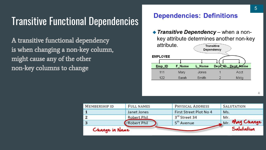## Transitive Functional Dependencies

A transitive [functional dependency](https://www.guru99.com/dbms-functional-dependency.html)  is when changing a non-key column, might cause any of the other non-key columns to change

#### **Dependencies: Definitions**

 $\triangle$  Transitive Dependency – when a nonkey attribute determines another non-key attribute. **Transitive** Dependency **EMPLOYEE** Dept HD\_Dept\_Name Emp\_ID **F** Name L Name 111 Mary Jones Acct 122 Sarah Smith  $\overline{2}$ Mktg

| Change in Name       |                    |                         | Salutation        |
|----------------------|--------------------|-------------------------|-------------------|
| 3                    | <b>Robert Phil</b> | 5 <sup>th</sup> Avenue  | Mr. May Change    |
| $\overline{2}$       | <b>Robert Phil</b> | 3rd Street 34           | Mr.               |
|                      | Janet Jones        | First Street Plot No 4  | Ms.               |
| <b>MEMBERSHIP ID</b> | <b>FULL NAMES</b>  | <b>PHYSICAL ADDRESS</b> | <b>SALUTATION</b> |

Δ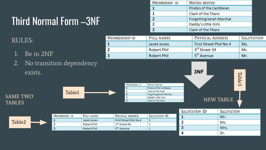# Third Normal Form –3NF

### RULES:

- 1. Be in 2NF
- 2. No transition dependency

| MEMBERSHIP ID | MOVIES RENTED                   |  |
|---------------|---------------------------------|--|
|               | Pirates of the Caribbean        |  |
|               | Clash of the Titans             |  |
|               | <b>Forgetting Sarah Marshal</b> |  |
|               | Daddy's Little Girls            |  |
|               | Clash of the Titans             |  |

Table3

| MEMBERSHIP ID | <b>FULL NAMES</b>  | PHYSICAL ADDRESS       | <b>SALUTATION</b> |
|---------------|--------------------|------------------------|-------------------|
| 1             | Janet Jones        | First Street Plot No 4 | Ms.               |
| $\mathbf{2}$  | Robert Phil        | 3rd Street 34          | Mr.               |
| 3             | <b>Robert Phil</b> | 5 <sup>th</sup> Avenue | Mr.               |

| exists.         | .             |               |                          | 3NF              |
|-----------------|---------------|---------------|--------------------------|------------------|
|                 |               | MEMBERSHIP ID | MOVIES RENTED            |                  |
|                 |               |               | Pirates of the Caribbean |                  |
|                 | <b>Table1</b> |               | Clash of the Titans      |                  |
|                 |               |               | Forgetting Sarah Marshal |                  |
| <b>SAME TWO</b> |               |               | Daddy's Little Girls     |                  |
|                 |               |               | Clash of the Titans      | <b>NEW TABLE</b> |
| <b>TABLES</b>   |               |               |                          |                  |

SAME TWO

|                    |  |               |                   |                        |               | SALUTATION ID | <b>SALUTATION</b> |
|--------------------|--|---------------|-------------------|------------------------|---------------|---------------|-------------------|
|                    |  | MEMBERSHIP ID | <b>FULL NAMES</b> | PHYSICAL ADDRESS       | SALUTATION ID |               | Mr.               |
| Table <sub>2</sub> |  |               | Janet Jones       | First Street Plot No 4 |               |               | Ms.               |
|                    |  | Robert Phil   | 3rd Street 34     |                        |               |               |                   |
|                    |  |               | Robert Phil       | 5 <sup>th</sup> Avenue |               | ◡             | Mrs.              |
|                    |  |               |                   |                        |               |               | Dr                |